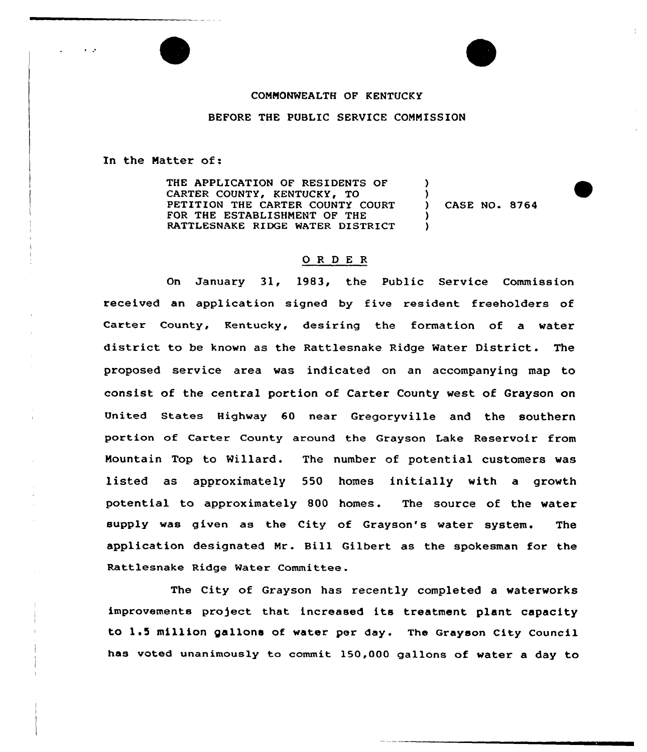## COMMONWEALTH OF KENTUCKY

## BEFORE THE PUBLIC SERVICE COMMISSION

In the Natter of:

THE APPLICATION OF RESIDENTS OF CARTER COUNTY, KENTUCKY, TO PETITION THE CARTER COUNTY COURT FOR THE ESTABLISHNENT OF THE RATTLESNAKE RIDGE WATER DISTRICT ) ) ) CASE NO. 8764 ) )

## 0 R <sup>D</sup> <sup>E</sup> R

On January 31, 1983, the Public Service Commission received an application signed by five resident freeholders of Carter County, Kentucky, desiring the formation of a vater district to be known as the Rattlesnake Ridge Water District. The proposed service area vas indicated on an accompanying map to consist of the centra) portion of Carter County vest of Grayson on United States Highway 60 near Gregoryville and the southern portion of Carter County around the Grayson Lake Reservoir from Mountain Top to Willard. The number of potential customers was listed as approximately 550 homes initially with a growth potential to approximately SOO homes. The source of the water supply was given as the City of Grayson's water system. The application designated Mr . Bill Gilbert as the spokesman for the Rattlesnake Ridge Water Committee.

The City of Grayson has recently completed a vaterworks improvements pro)ect that increased its treatment plant capacity to 1.5 million gallons of water per day. The Grayson City Council has voted unanimously to commit 150,000 gallons of vater a day to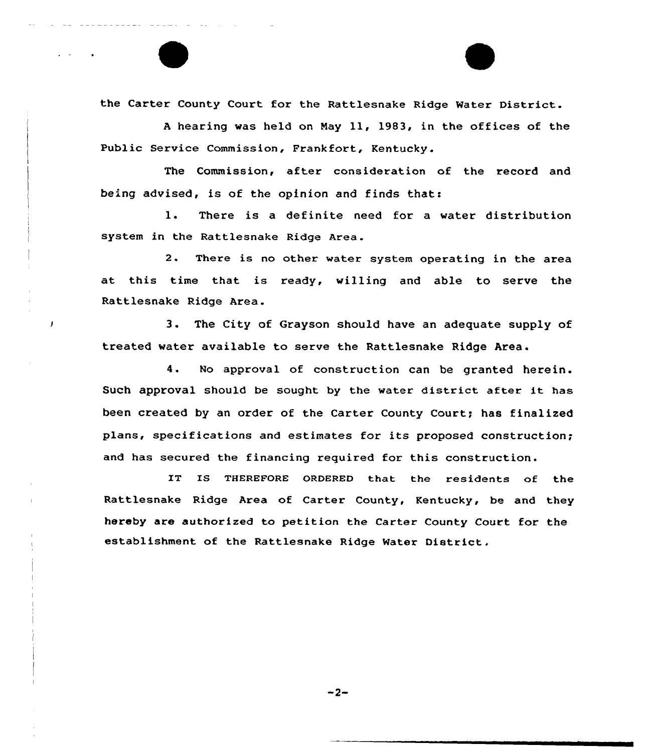the Carter County Court for the Rattlesnake Ridge Water District.

<sup>A</sup> hearing was held on Nay 11, 19B3, in the offices of the Public Service Commission, Frankfort, Kentucky.

The Commission, after consideration of the record and being advised, is of the opinion and finds that:

1. There is a definite need for a water distribution system in the Rattlesnake Ridge Area.

2. There is no other water system operating in the area at this time that is ready, willing and able to serve the Rattlesnake Ridge Area.

3. The City of Grayson should have an adequate supply of treated water available to serve the Rattlesnake Ridge Area.

4. No approval of construction can be granted herein. Such approval should be sought by the water district after it has been created by an order of the Carter County Court; has finalized plans, specifications and estimates for its proposed construction; and has secured the financing required for this construction.

IT IS THEREFORE ORDERED that the residents of the Rattlesnake Ridge Area of Carter County, Kentucky, be and they hereby are authorized to petition the Carter County Court for the establishment of the Rattlesnake Ridge Water District.

 $-2-$